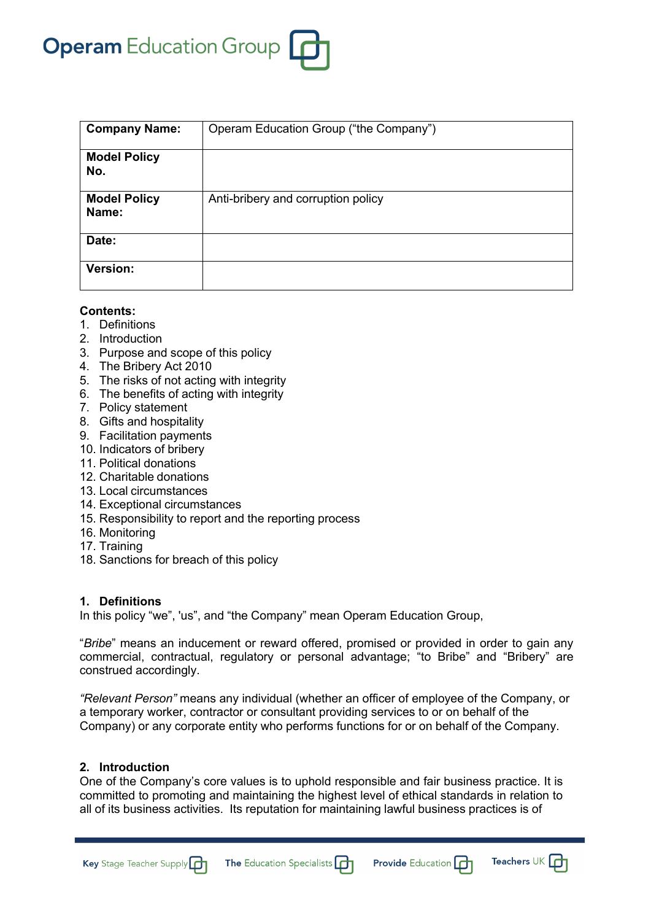# **Operam** Education Group

| <b>Company Name:</b>         | Operam Education Group ("the Company") |
|------------------------------|----------------------------------------|
| <b>Model Policy</b><br>No.   |                                        |
| <b>Model Policy</b><br>Name: | Anti-bribery and corruption policy     |
| Date:                        |                                        |
| <b>Version:</b>              |                                        |

## **Contents:**

- 1. Definitions
- 2. Introduction
- 3. Purpose and scope of this policy
- 4. The Bribery Act 2010
- 5. The risks of not acting with integrity
- 6. The benefits of acting with integrity
- 7. Policy statement
- 8. Gifts and hospitality
- 9. Facilitation payments
- 10. Indicators of bribery
- 11. Political donations
- 12. Charitable donations
- 13. Local circumstances
- 14. Exceptional circumstances
- 15. Responsibility to report and the reporting process
- 16. Monitoring
- 17. Training
- 18. Sanctions for breach of this policy

## **1. Definitions**

In this policy "we", 'us", and "the Company" mean Operam Education Group,

"*Bribe*" means an inducement or reward offered, promised or provided in order to gain any commercial, contractual, regulatory or personal advantage; "to Bribe" and "Bribery" are construed accordingly.

*"Relevant Person"* means any individual (whether an officer of employee of the Company, or a temporary worker, contractor or consultant providing services to or on behalf of the Company) or any corporate entity who performs functions for or on behalf of the Company.

## **2. Introduction**

Key Stage Teacher Supply

One of the Company's core values is to uphold responsible and fair business practice. It is committed to promoting and maintaining the highest level of ethical standards in relation to all of its business activities. Its reputation for maintaining lawful business practices is of

The Education Specialists [

Teachers UK  $\Box$ 

**Provide Education**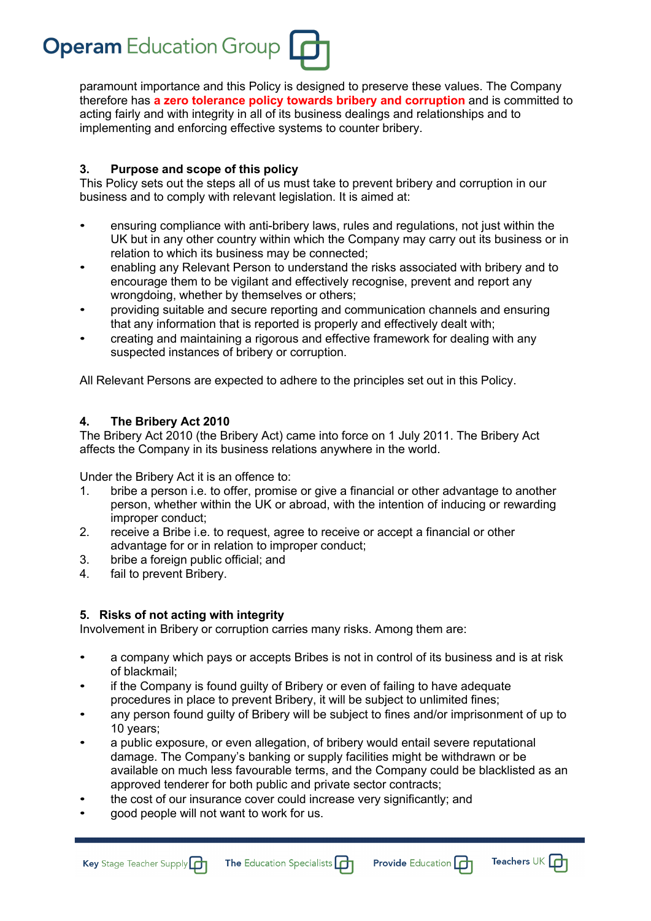

paramount importance and this Policy is designed to preserve these values. The Company therefore has **a zero tolerance policy towards bribery and corruption** and is committed to acting fairly and with integrity in all of its business dealings and relationships and to implementing and enforcing effective systems to counter bribery.

# **3. Purpose and scope of this policy**

This Policy sets out the steps all of us must take to prevent bribery and corruption in our business and to comply with relevant legislation. It is aimed at:

- ensuring compliance with anti-bribery laws, rules and regulations, not just within the UK but in any other country within which the Company may carry out its business or in relation to which its business may be connected;
- enabling any Relevant Person to understand the risks associated with bribery and to encourage them to be vigilant and effectively recognise, prevent and report any wrongdoing, whether by themselves or others;
- providing suitable and secure reporting and communication channels and ensuring that any information that is reported is properly and effectively dealt with;
- creating and maintaining a rigorous and effective framework for dealing with any suspected instances of bribery or corruption.

All Relevant Persons are expected to adhere to the principles set out in this Policy.

# **4. The Bribery Act 2010**

The Bribery Act 2010 (the Bribery Act) came into force on 1 July 2011. The Bribery Act affects the Company in its business relations anywhere in the world.

Under the Bribery Act it is an offence to:

- 1. bribe a person i.e. to offer, promise or give a financial or other advantage to another person, whether within the UK or abroad, with the intention of inducing or rewarding improper conduct;
- 2. receive a Bribe i.e. to request, agree to receive or accept a financial or other advantage for or in relation to improper conduct;
- 3. bribe a foreign public official; and
- 4. fail to prevent Bribery.

# **5. Risks of not acting with integrity**

Involvement in Bribery or corruption carries many risks. Among them are:

- a company which pays or accepts Bribes is not in control of its business and is at risk of blackmail;
- if the Company is found guilty of Bribery or even of failing to have adequate procedures in place to prevent Bribery, it will be subject to unlimited fines;
- any person found guilty of Bribery will be subject to fines and/or imprisonment of up to 10 years;
- a public exposure, or even allegation, of bribery would entail severe reputational damage. The Company's banking or supply facilities might be withdrawn or be available on much less favourable terms, and the Company could be blacklisted as an approved tenderer for both public and private sector contracts;
- the cost of our insurance cover could increase very significantly; and
- good people will not want to work for us.

Key Stage Teacher Supply

The Education Specialists [



Teachers UK  $\Box$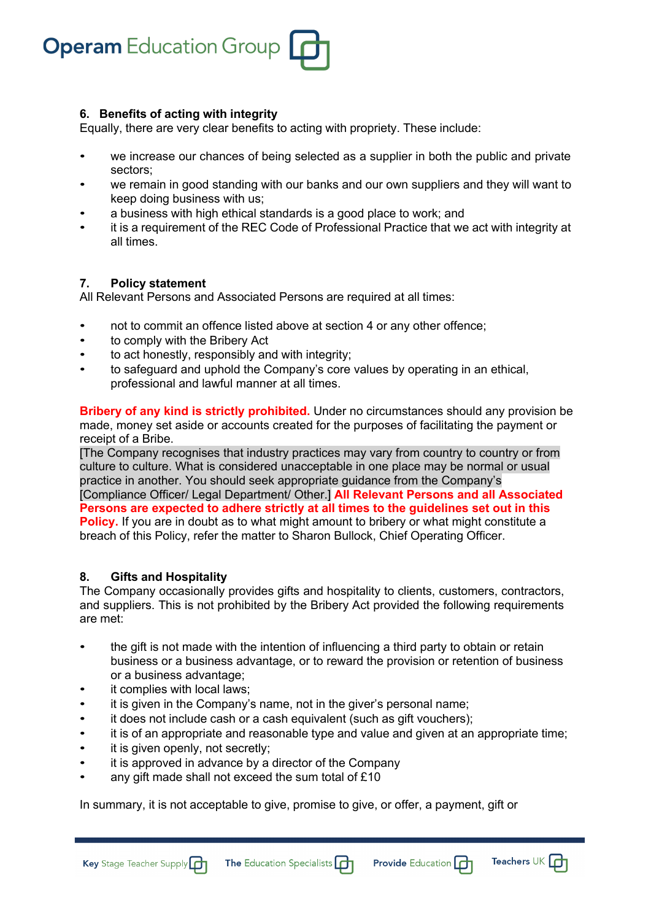

## **6. Benefits of acting with integrity**

Equally, there are very clear benefits to acting with propriety. These include:

- we increase our chances of being selected as a supplier in both the public and private sectors;
- we remain in good standing with our banks and our own suppliers and they will want to keep doing business with us;
- a business with high ethical standards is a good place to work; and
- it is a requirement of the REC Code of Professional Practice that we act with integrity at all times.

## **7. Policy statement**

All Relevant Persons and Associated Persons are required at all times:

- not to commit an offence listed above at section 4 or any other offence;
- to comply with the Bribery Act
- to act honestly, responsibly and with integrity;
- to safeguard and uphold the Company's core values by operating in an ethical, professional and lawful manner at all times.

**Bribery of any kind is strictly prohibited.** Under no circumstances should any provision be made, money set aside or accounts created for the purposes of facilitating the payment or receipt of a Bribe.

[The Company recognises that industry practices may vary from country to country or from culture to culture. What is considered unacceptable in one place may be normal or usual practice in another. You should seek appropriate guidance from the Company's [Compliance Officer/ Legal Department/ Other.] **All Relevant Persons and all Associated Persons are expected to adhere strictly at all times to the guidelines set out in this Policy.** If you are in doubt as to what might amount to bribery or what might constitute a breach of this Policy, refer the matter to Sharon Bullock, Chief Operating Officer.

## **8. Gifts and Hospitality**

The Company occasionally provides gifts and hospitality to clients, customers, contractors, and suppliers. This is not prohibited by the Bribery Act provided the following requirements are met:

- the gift is not made with the intention of influencing a third party to obtain or retain business or a business advantage, or to reward the provision or retention of business or a business advantage;
- it complies with local laws;
- it is given in the Company's name, not in the giver's personal name;
- it does not include cash or a cash equivalent (such as gift vouchers);
- it is of an appropriate and reasonable type and value and given at an appropriate time;

Teachers UK  $\Box$ 

**Provide Education** 

it is given openly, not secretly;

Key Stage Teacher Supply

- it is approved in advance by a director of the Company
- any gift made shall not exceed the sum total of £10

In summary, it is not acceptable to give, promise to give, or offer, a payment, gift or

The Education Specialists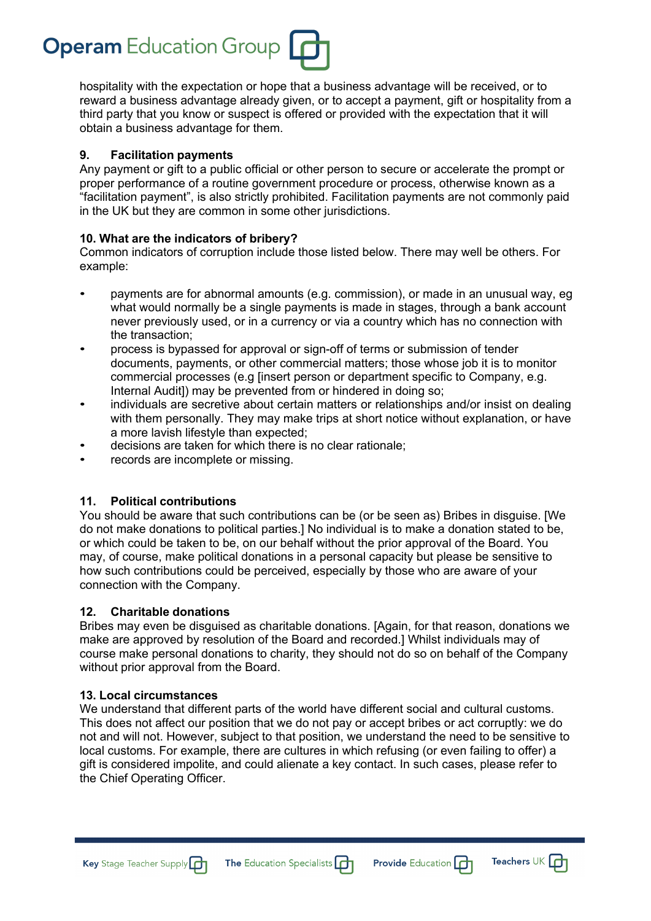

hospitality with the expectation or hope that a business advantage will be received, or to reward a business advantage already given, or to accept a payment, gift or hospitality from a third party that you know or suspect is offered or provided with the expectation that it will obtain a business advantage for them.

## **9. Facilitation payments**

Any payment or gift to a public official or other person to secure or accelerate the prompt or proper performance of a routine government procedure or process, otherwise known as a "facilitation payment", is also strictly prohibited. Facilitation payments are not commonly paid in the UK but they are common in some other jurisdictions.

#### **10. What are the indicators of bribery?**

Common indicators of corruption include those listed below. There may well be others. For example:

- payments are for abnormal amounts (e.g. commission), or made in an unusual way, eg what would normally be a single payments is made in stages, through a bank account never previously used, or in a currency or via a country which has no connection with the transaction;
- process is bypassed for approval or sign-off of terms or submission of tender documents, payments, or other commercial matters; those whose job it is to monitor commercial processes (e.g [insert person or department specific to Company, e.g. Internal Audit]) may be prevented from or hindered in doing so;
- individuals are secretive about certain matters or relationships and/or insist on dealing with them personally. They may make trips at short notice without explanation, or have a more lavish lifestyle than expected;
- decisions are taken for which there is no clear rationale;
- records are incomplete or missing.

## **11. Political contributions**

You should be aware that such contributions can be (or be seen as) Bribes in disguise. [We do not make donations to political parties.] No individual is to make a donation stated to be, or which could be taken to be, on our behalf without the prior approval of the Board. You may, of course, make political donations in a personal capacity but please be sensitive to how such contributions could be perceived, especially by those who are aware of your connection with the Company.

#### **12. Charitable donations**

Bribes may even be disguised as charitable donations. [Again, for that reason, donations we make are approved by resolution of the Board and recorded.] Whilst individuals may of course make personal donations to charity, they should not do so on behalf of the Company without prior approval from the Board.

#### **13. Local circumstances**

We understand that different parts of the world have different social and cultural customs. This does not affect our position that we do not pay or accept bribes or act corruptly: we do not and will not. However, subject to that position, we understand the need to be sensitive to local customs. For example, there are cultures in which refusing (or even failing to offer) a gift is considered impolite, and could alienate a key contact. In such cases, please refer to the Chief Operating Officer.

The Education Specialists [

Teachers UK  $\Box$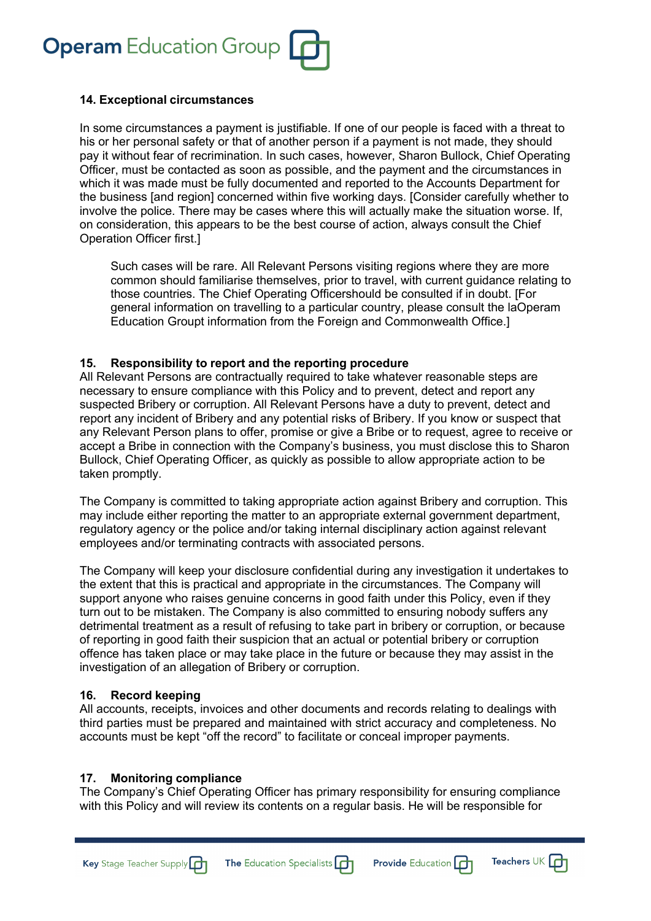**Operam** Education Group

#### **14. Exceptional circumstances**

In some circumstances a payment is justifiable. If one of our people is faced with a threat to his or her personal safety or that of another person if a payment is not made, they should pay it without fear of recrimination. In such cases, however, Sharon Bullock, Chief Operating Officer, must be contacted as soon as possible, and the payment and the circumstances in which it was made must be fully documented and reported to the Accounts Department for the business [and region] concerned within five working days. [Consider carefully whether to involve the police. There may be cases where this will actually make the situation worse. If, on consideration, this appears to be the best course of action, always consult the Chief Operation Officer first.]

Such cases will be rare. All Relevant Persons visiting regions where they are more common should familiarise themselves, prior to travel, with current guidance relating to those countries. The Chief Operating Officershould be consulted if in doubt. [For general information on travelling to a particular country, please consult the laOperam Education Groupt information from the Foreign and Commonwealth Office.]

#### **15. Responsibility to report and the reporting procedure**

All Relevant Persons are contractually required to take whatever reasonable steps are necessary to ensure compliance with this Policy and to prevent, detect and report any suspected Bribery or corruption. All Relevant Persons have a duty to prevent, detect and report any incident of Bribery and any potential risks of Bribery. If you know or suspect that any Relevant Person plans to offer, promise or give a Bribe or to request, agree to receive or accept a Bribe in connection with the Company's business, you must disclose this to Sharon Bullock, Chief Operating Officer, as quickly as possible to allow appropriate action to be taken promptly.

The Company is committed to taking appropriate action against Bribery and corruption. This may include either reporting the matter to an appropriate external government department, regulatory agency or the police and/or taking internal disciplinary action against relevant employees and/or terminating contracts with associated persons.

The Company will keep your disclosure confidential during any investigation it undertakes to the extent that this is practical and appropriate in the circumstances. The Company will support anyone who raises genuine concerns in good faith under this Policy, even if they turn out to be mistaken. The Company is also committed to ensuring nobody suffers any detrimental treatment as a result of refusing to take part in bribery or corruption, or because of reporting in good faith their suspicion that an actual or potential bribery or corruption offence has taken place or may take place in the future or because they may assist in the investigation of an allegation of Bribery or corruption.

#### **16. Record keeping**

All accounts, receipts, invoices and other documents and records relating to dealings with third parties must be prepared and maintained with strict accuracy and completeness. No accounts must be kept "off the record" to facilitate or conceal improper payments.

## **17. Monitoring compliance**

Key Stage Teacher Supply

The Company's Chief Operating Officer has primary responsibility for ensuring compliance with this Policy and will review its contents on a regular basis. He will be responsible for

The Education Specialists

**Provide Education** 

Teachers UK  $\Box$